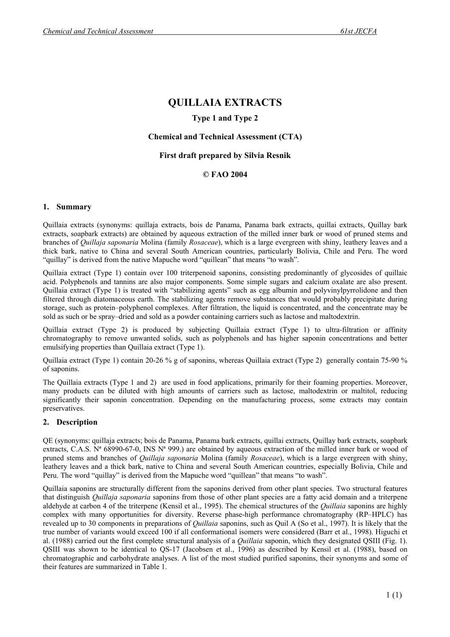# **QUILLAIA EXTRACTS**

## **Type 1 and Type 2**

## **Chemical and Technical Assessment (CTA)**

## **First draft prepared by Silvia Resnik**

## **© FAO 2004**

## **1. Summary**

Quillaia extracts (synonyms: quillaja extracts, bois de Panama, Panama bark extracts, quillai extracts, Quillay bark extracts, soapbark extracts) are obtained by aqueous extraction of the milled inner bark or wood of pruned stems and branches of *Quillaja saponaria* Molina (family *Rosaceae*), which is a large evergreen with shiny, leathery leaves and a thick bark, native to China and several South American countries, particularly Bolivia, Chile and Peru. The word "quillay" is derived from the native Mapuche word "quillean" that means "to wash".

Quillaia extract (Type 1) contain over 100 triterpenoid saponins, consisting predominantly of glycosides of quillaic acid. Polyphenols and tannins are also major components. Some simple sugars and calcium oxalate are also present. Quillaia extract (Type 1) is treated with "stabilizing agents" such as egg albumin and polyvinylpyrrolidone and then filtered through diatomaceous earth. The stabilizing agents remove substances that would probably precipitate during storage, such as protein–polyphenol complexes. After filtration, the liquid is concentrated, and the concentrate may be sold as such or be spray–dried and sold as a powder containing carriers such as lactose and maltodextrin.

Quillaia extract (Type 2) is produced by subjecting Quillaia extract (Type 1) to ultra-filtration or affinity chromatography to remove unwanted solids, such as polyphenols and has higher saponin concentrations and better emulsifying properties than Quillaia extract (Type 1).

Quillaia extract (Type 1) contain 20-26 % g of saponins, whereas Quillaia extract (Type 2) generally contain 75-90 % of saponins.

The Quillaia extracts (Type 1 and 2) are used in food applications, primarily for their foaming properties. Moreover, many products can be diluted with high amounts of carriers such as lactose, maltodextrin or maltitol, reducing significantly their saponin concentration. Depending on the manufacturing process, some extracts may contain preservatives.

## **2. Description**

QE (synonyms: quillaja extracts; bois de Panama, Panama bark extracts, quillai extracts, Quillay bark extracts, soapbark extracts, C.A.S. Nª 68990-67-0, INS Nª 999.) are obtained by aqueous extraction of the milled inner bark or wood of pruned stems and branches of *Quillaja saponaria* Molina (family *Rosaceae*), which is a large evergreen with shiny, leathery leaves and a thick bark, native to China and several South American countries, especially Bolivia, Chile and Peru. The word "quillay" is derived from the Mapuche word "quillean" that means "to wash".

Quillaia saponins are structurally different from the saponins derived from other plant species. Two structural features that distinguish *Quillaja saponaria* saponins from those of other plant species are a fatty acid domain and a triterpene aldehyde at carbon 4 of the triterpene (Kensil et al., 1995). The chemical structures of the *Quillaia* saponins are highly complex with many opportunities for diversity. Reverse phase-high performance chromatography (RP–HPLC) has revealed up to 30 components in preparations of *Quillaia* saponins, such as Quil A (So et al., 1997). It is likely that the true number of variants would exceed 100 if all conformational isomers were considered (Barr et al., 1998). Higuchi et al. (1988) carried out the first complete structural analysis of a *Quillaia* saponin, which they designated QSIII (Fig. 1). QSIII was shown to be identical to QS-17 (Jacobsen et al., 1996) as described by Kensil et al. (1988), based on chromatographic and carbohydrate analyses. A list of the most studied purified saponins, their synonyms and some of their features are summarized in Table 1.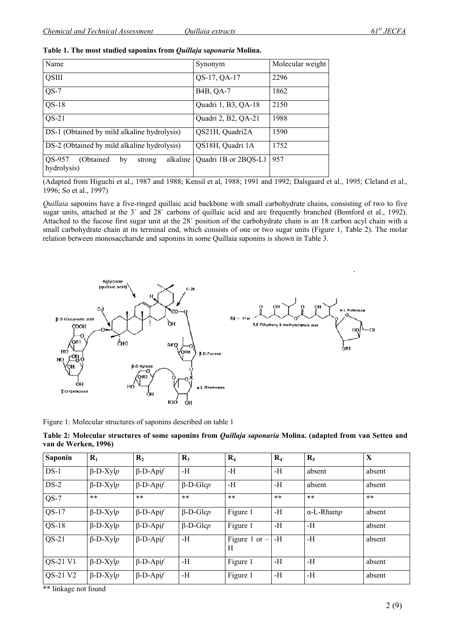| Name                                                            | Synonym                | Molecular weight |
|-----------------------------------------------------------------|------------------------|------------------|
| <b>QSIII</b>                                                    | QS-17, QA-17           | 2296             |
| $QS-7$                                                          | B <sub>4</sub> B, QA-7 | 1862             |
| $QS-18$                                                         | Quadri 1, B3, QA-18    | 2150             |
| $QS-21$                                                         | Quadri 2, B2, QA-21    | 1988             |
| DS-1 (Obtained by mild alkaline hydrolysis)                     | QS21H, Quadri2A        | 1590             |
| DS-2 (Obtained by mild alkaline hydrolysis)                     | QS18H, Quadri 1A       | 1752             |
| QS-957<br>(Obtained)<br>alkaline<br>by<br>strong<br>hydrolysis) | Quadri 1B or 2BQS-L1   | 957              |

|  |  | Table 1. The most studied saponins from Quillaja saponaria Molina. |
|--|--|--------------------------------------------------------------------|
|  |  |                                                                    |

(Adapted from Higuchi et al., 1987 and 1988; Kensil et al, 1988; 1991 and 1992; Dalsgaard et al., 1995; Cleland et al., 1996; So et al., 1997)

*Quillaia* saponins have a five-ringed quillaic acid backbone with small carbohydrate chains, consisting of two to five sugar units, attached at the 3<sup>'</sup> and 28<sup>'</sup> carbons of quillaic acid and are frequently branched (Bomford et al., 1992). Attached to the fucose first sugar unit at the 28´ position of the carbohydrate chain is an 18 carbon acyl chain with a small carbohydrate chain at its terminal end, which consists of one or two sugar units (Figure 1, Table 2). The molar relation between monosaccharide and saponins in some Quillaia saponins is shown in Table 3.



Figure 1: Molecular structures of saponins described on table 1

**Table 2: Molecular structures of some saponins from** *Quillaja saponaria* **Molina. (adapted from van Setten and van de Werken, 1996)** 

| <b>Saponin</b> | $R_1$              | $\mathbf{R}_{2}$ | $R_3$           | $R_4$                | $R_{4}$ | $R_5$             | X      |
|----------------|--------------------|------------------|-----------------|----------------------|---------|-------------------|--------|
| $DS-1$         | $\beta$ -D-Xyl $p$ | $\beta$ -D-Apif  | -Н              | -H                   | -Н      | absent            | absent |
| $DS-2$         | $\beta$ -D-Xyl $p$ | $\beta$ -D-Apif  | $\beta$ -D-Glcp | -H                   | -Н      | absent            | absent |
| $QS-7$         | $***$              | $***$            | $***$           | $***$                | $***$   | $***$             | $***$  |
| $QS-17$        | $\beta$ -D-Xylp    | $\beta$ -D-Apif  | $\beta$ -D-Glcp | Figure 1             | -Н      | $\alpha$ -L-Rhamp | absent |
| $QS-18$        | $\beta$ -D-Xyl $p$ | $\beta$ -D-Apif  | $\beta$ -D-Glcp | Figure 1             | -Н      | -Н                | absent |
| $QS-21$        | $\beta$ -D-Xyl $p$ | $\beta$ -D-Apif  | -Н              | Figure 1 or $-$<br>H | -Н      | -H                | absent |
| QS-21 V1       | $\beta$ -D-Xyl $p$ | $\beta$ -D-Apif  | -H              | Figure 1             | -Н      | -Н                | absent |
| QS-21 V2       | $\beta$ -D-Xyl $p$ | $\beta$ -D-Apif  | -Н              | Figure 1             | -Н      | -H                | absent |

\*\* linkage not found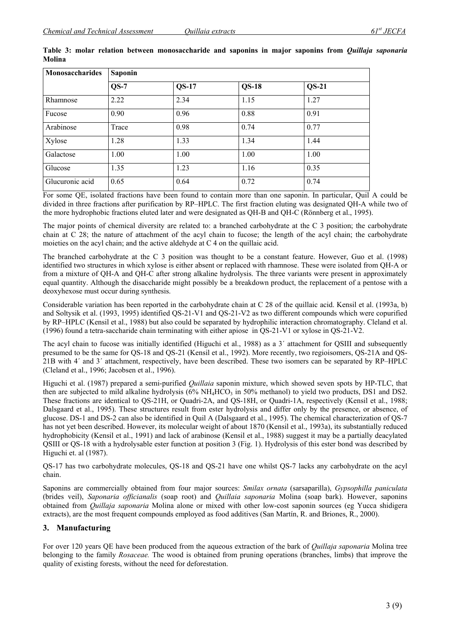| <b>Monosaccharides</b> | <b>Saponin</b> |              |              |              |  |  |
|------------------------|----------------|--------------|--------------|--------------|--|--|
|                        | $OS-7$         | <b>QS-17</b> | <b>QS-18</b> | <b>QS-21</b> |  |  |
| Rhamnose               | 2.22           | 2.34         | 1.15         | 1.27         |  |  |
| Fucose                 | 0.90           | 0.96         | 0.88         | 0.91         |  |  |
| Arabinose              | Trace          | 0.98         | 0.74         | 0.77         |  |  |
| Xylose                 | 1.28           | 1.33         | 1.34         | 1.44         |  |  |
| Galactose              | 1.00           | 1.00         | 1.00         | 1.00         |  |  |
| Glucose                | 1.35           | 1.23         | 1.16         | 0.35         |  |  |
| Glucuronic acid        | 0.65           | 0.64         | 0.72         | 0.74         |  |  |

**Table 3: molar relation between monosaccharide and saponins in major saponins from** *Quillaja saponaria*  **Molina** 

For some QE, isolated fractions have been found to contain more than one saponin. In particular, Quil A could be divided in three fractions after purification by RP–HPLC. The first fraction eluting was designated QH-A while two of the more hydrophobic fractions eluted later and were designated as QH-B and QH-C (Rönnberg et al., 1995).

The major points of chemical diversity are related to: a branched carbohydrate at the C 3 position; the carbohydrate chain at C 28; the nature of attachment of the acyl chain to fucose; the length of the acyl chain; the carbohydrate moieties on the acyl chain; and the active aldehyde at C 4 on the quillaic acid.

The branched carbohydrate at the C 3 position was thought to be a constant feature. However, Guo et al. (1998) identified two structures in which xylose is either absent or replaced with rhamnose. These were isolated from QH-A or from a mixture of QH-A and QH-C after strong alkaline hydrolysis. The three variants were present in approximately equal quantity. Although the disaccharide might possibly be a breakdown product, the replacement of a pentose with a deoxyhexose must occur during synthesis.

Considerable variation has been reported in the carbohydrate chain at C 28 of the quillaic acid. Kensil et al. (1993a, b) and Soltysik et al. (1993, 1995) identified QS-21-V1 and QS-21-V2 as two different compounds which were copurified by RP–HPLC (Kensil et al., 1988) but also could be separated by hydrophilic interaction chromatography. Cleland et al. (1996) found a tetra-saccharide chain terminating with either apiose in QS-21-V1 or xylose in QS-21-V2.

The acyl chain to fucose was initially identified (Higuchi et al., 1988) as a 3´ attachment for QSIII and subsequently presumed to be the same for QS-18 and QS-21 (Kensil et al., 1992). More recently, two regioisomers, QS-21A and QS-21B with 4´ and 3´ attachment, respectively, have been described. These two isomers can be separated by RP–HPLC (Cleland et al., 1996; Jacobsen et al., 1996).

Higuchi et al. (1987) prepared a semi-purified *Quillaia* saponin mixture, which showed seven spots by HP-TLC, that then are subjected to mild alkaline hydrolysis  $(6\% \text{ NH}_4\text{HCO}_3)$  in 50% methanol) to yield two products, DS1 and DS2. These fractions are identical to QS-21H, or Quadri-2A, and QS-18H, or Quadri-1A, respectively (Kensil et al., 1988; Dalsgaard et al., 1995). These structures result from ester hydrolysis and differ only by the presence, or absence, of glucose. DS-1 and DS-2 can also be identified in Quil A (Dalsgaard et al., 1995). The chemical characterization of QS-7 has not yet been described. However, its molecular weight of about 1870 (Kensil et al., 1993a), its substantially reduced hydrophobicity (Kensil et al., 1991) and lack of arabinose (Kensil et al., 1988) suggest it may be a partially deacylated QSIII or QS-18 with a hydrolysable ester function at position 3 (Fig. 1). Hydrolysis of this ester bond was described by Higuchi et. al (1987).

QS-17 has two carbohydrate molecules, QS-18 and QS-21 have one whilst QS-7 lacks any carbohydrate on the acyl chain.

Saponins are commercially obtained from four major sources: *Smilax ornata* (sarsaparilla), *Gypsophilla paniculata*  (brides veil), *Saponaria officianalis* (soap root) and *Quillaia saponaria* Molina (soap bark). However, saponins obtained from *Quillaja saponaria* Molina alone or mixed with other low-cost saponin sources (eg Yucca shidigera extracts), are the most frequent compounds employed as food additives (San Martín, R. and Briones, R., 2000).

## **3. Manufacturing**

For over 120 years QE have been produced from the aqueous extraction of the bark of *Quillaja saponaria* Molina tree belonging to the family *Rosaceae.* The wood is obtained from pruning operations (branches, limbs) that improve the quality of existing forests, without the need for deforestation.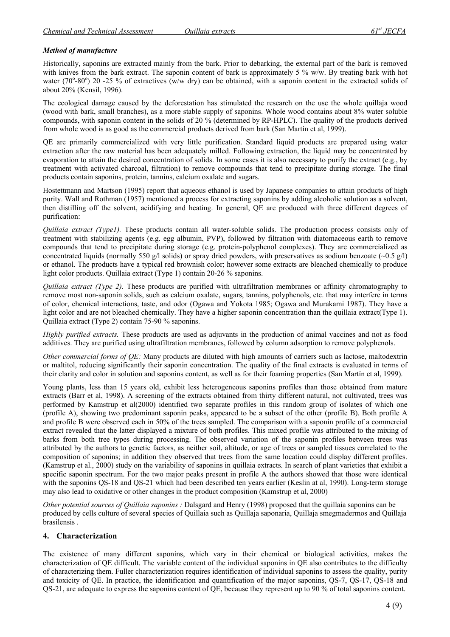#### *Method of manufacture*

Historically, saponins are extracted mainly from the bark. Prior to debarking, the external part of the bark is removed with knives from the bark extract. The saponin content of bark is approximately 5 % w/w. By treating bark with hot water (70°-80°) 20 -25 % of extractives (w/w dry) can be obtained, with a saponin content in the extracted solids of about 20% (Kensil, 1996).

The ecological damage caused by the deforestation has stimulated the research on the use the whole quillaja wood (wood with bark, small branches), as a more stable supply of saponins. Whole wood contains about 8% water soluble compounds, with saponin content in the solids of 20 % (determined by RP-HPLC). The quality of the products derived from whole wood is as good as the commercial products derived from bark (San Martín et al, 1999).

QE are primarily commercialized with very little purification. Standard liquid products are prepared using water extraction after the raw material has been adequately milled. Following extraction, the liquid may be concentrated by evaporation to attain the desired concentration of solids. In some cases it is also necessary to purify the extract (e.g., by treatment with activated charcoal, filtration) to remove compounds that tend to precipitate during storage. The final products contain saponins, protein, tannins, calcium oxalate and sugars.

Hostettmann and Martson (1995) report that aqueous ethanol is used by Japanese companies to attain products of high purity. Wall and Rothman (1957) mentioned a process for extracting saponins by adding alcoholic solution as a solvent, then distilling off the solvent, acidifying and heating. In general, QE are produced with three different degrees of purification:

*Quillaia extract (Type1).* These products contain all water-soluble solids. The production process consists only of treatment with stabilizing agents (e.g. egg albumin, PVP), followed by filtration with diatomaceous earth to remove compounds that tend to precipitate during storage (e.g. protein-polyphenol complexes). They are commercialized as concentrated liquids (normally 550 g/l solids) or spray dried powders, with preservatives as sodium benzoate  $(-0.5 \text{ g/l})$ or ethanol. The products have a typical red brownish color; however some extracts are bleached chemically to produce light color products. Quillaia extract (Type 1) contain 20-26 % saponins.

*Quillaia extract (Type 2).* These products are purified with ultrafiltration membranes or affinity chromatography to remove most non-saponin solids, such as calcium oxalate, sugars, tannins, polyphenols, etc. that may interfere in terms of color, chemical interactions, taste, and odor (Ogawa and Yokota 1985; Ogawa and Murakami 1987). They have a light color and are not bleached chemically. They have a higher saponin concentration than the quillaia extract(Type 1). Quillaia extract (Type 2) contain 75-90 % saponins.

*Highly purified extracts.* These products are used as adjuvants in the production of animal vaccines and not as food additives. They are purified using ultrafiltration membranes, followed by column adsorption to remove polyphenols.

*Other commercial forms of QE:* Many products are diluted with high amounts of carriers such as lactose, maltodextrin or maltitol, reducing significantly their saponin concentration. The quality of the final extracts is evaluated in terms of their clarity and color in solution and saponins content, as well as for their foaming properties (San Martín et al, 1999).

Young plants, less than 15 years old, exhibit less heterogeneous saponins profiles than those obtained from mature extracts (Barr et al, 1998). A screening of the extracts obtained from thirty different natural, not cultivated, trees was performed by Kamstrup et al(2000) identified two separate profiles in this random group of isolates of which one (profile A), showing two predominant saponin peaks, appeared to be a subset of the other (profile B). Both profile A and profile B were observed each in 50% of the trees sampled. The comparison with a saponin profile of a commercial extract revealed that the latter displayed a mixture of both profiles. This mixed profile was attributed to the mixing of barks from both tree types during processing. The observed variation of the saponin profiles between trees was attributed by the authors to genetic factors, as neither soil, altitude, or age of trees or sampled tissues correlated to the composition of saponins; in addition they observed that trees from the same location could display different profiles. (Kamstrup et al., 2000) study on the variability of saponins in quillaia extracts. In search of plant varieties that exhibit a specific saponin spectrum. For the two major peaks present in profile A the authors showed that those were identical with the saponins QS-18 and QS-21 which had been described ten years earlier (Keslin at al, 1990). Long-term storage may also lead to oxidative or other changes in the product composition (Kamstrup et al, 2000)

*Other potential sources of Quillaia saponins :* Dalsgard and Henry (1998) proposed that the quillaia saponins can be produced by cells culture of several species of Quillaia such as Quillaja saponaria, Quillaja smegmadermos and Quillaja brasilensis .

## **4. Characterization**

The existence of many different saponins, which vary in their chemical or biological activities, makes the characterization of QE difficult. The variable content of the individual saponins in QE also contributes to the difficulty of characterizing them. Fuller characterization requires identification of individual saponins to assess the quality, purity and toxicity of QE. In practice, the identification and quantification of the major saponins, QS-7, QS-17, QS-18 and QS-21, are adequate to express the saponins content of QE, because they represent up to 90 % of total saponins content.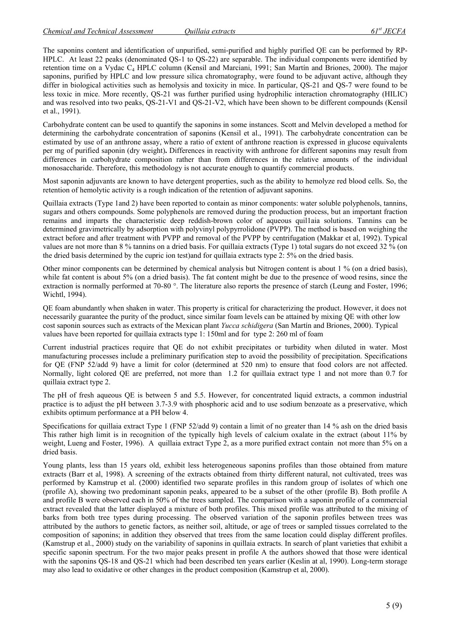The saponins content and identification of unpurified, semi-purified and highly purified QE can be performed by RP-HPLC. At least 22 peaks (denominated QS-1 to QS-22) are separable. The individual components were identified by retention time on a Vydac  $C_4$  HPLC column (Kensil and Marciani, 1991; San Martín and Briones, 2000). The major saponins, purified by HPLC and low pressure silica chromatography, were found to be adjuvant active, although they differ in biological activities such as hemolysis and toxicity in mice. In particular, QS-21 and QS-7 were found to be less toxic in mice. More recently, QS-21 was further purified using hydrophilic interaction chromatography (HILIC) and was resolved into two peaks, QS-21-V1 and QS-21-V2, which have been shown to be different compounds (Kensil et al., 1991).

Carbohydrate content can be used to quantify the saponins in some instances. Scott and Melvin developed a method for determining the carbohydrate concentration of saponins (Kensil et al., 1991). The carbohydrate concentration can be estimated by use of an anthrone assay, where a ratio of extent of anthrone reaction is expressed in glucose equivalents per mg of purified saponin (dry weight)**.** Differences in reactivity with anthrone for different saponins may result from differences in carbohydrate composition rather than from differences in the relative amounts of the individual monosaccharide. Therefore, this methodology is not accurate enough to quantify commercial products.

Most saponin adjuvants are known to have detergent properties, such as the ability to hemolyze red blood cells. So, the retention of hemolytic activity is a rough indication of the retention of adjuvant saponins.

Quillaia extracts (Type 1and 2) have been reported to contain as minor components: water soluble polyphenols, tannins, sugars and others compounds. Some polyphenols are removed during the production process, but an important fraction remains and imparts the characteristic deep reddish-brown color of aqueous quil1aia solutions. Tannins can be determined gravimetrically by adsorption with polyvinyl polypyrrolidone (PVPP). The method is based on weighing the extract before and after treatment with PVPP and removal of the PVPP by centrifugation (Makkar et al, 1992). Typical values are not more than 8 % tannins on a dried basis. For quillaia extracts (Type 1) total sugars do not exceed 32 % (on the dried basis determined by the cupric ion test)and for quillaia extracts type 2: 5% on the dried basis.

Other minor components can be determined by chemical analysis but Nitrogen content is about 1 % (on a dried basis), while fat content is about 5% (on a dried basis). The fat content might be due to the presence of wood resins, since the extraction is normally performed at 70-80 °. The literature also reports the presence of starch (Leung and Foster, 1996; Wichtl, 1994).

QE foam abundantly when shaken in water. This property is critical for characterizing the product. However, it does not necessarily guarantee the purity of the product, since similar foam levels can be attained by mixing QE with other low cost saponin sources such as extracts of the Mexican plant *Yucca schidigera* (San Martín and Briones, 2000). Typical values have been reported for quillaia extracts type 1: 150ml and for type 2: 260 ml of foam

Current industrial practices require that QE do not exhibit precipitates or turbidity when diluted in water. Most manufacturing processes include a preliminary purification step to avoid the possibility of precipitation. Specifications for QE (FNP 52/add 9) have a limit for color (determined at 520 nm) to ensure that food colors are not affected. Normally, light colored QE are preferred, not more than 1.2 for quillaia extract type 1 and not more than 0.7 for quillaia extract type 2.

The pH of fresh aqueous QE is between 5 and 5.5. However, for concentrated liquid extracts, a common industrial practice is to adjust the pH between 3.7-3.9 with phosphoric acid and to use sodium benzoate as a preservative, which exhibits optimum performance at a PH below 4.

Specifications for quillaia extract Type 1 (FNP 52/add 9) contain a limit of no greater than 14 % ash on the dried basis This rather high limit is in recognition of the typically high levels of calcium oxalate in the extract (about 11% by weight, Lueng and Foster, 1996). A quillaia extract Type 2, as a more purified extract contain not more than 5% on a dried basis.

Young plants, less than 15 years old, exhibit less heterogeneous saponins profiles than those obtained from mature extracts (Barr et al, 1998). A screening of the extracts obtained from thirty different natural, not cultivated, trees was performed by Kamstrup et al. (2000) identified two separate profiles in this random group of isolates of which one (profile A), showing two predominant saponin peaks, appeared to be a subset of the other (profile B). Both profile A and profile B were observed each in 50% of the trees sampled. The comparison with a saponin profile of a commercial extract revealed that the latter displayed a mixture of both profiles. This mixed profile was attributed to the mixing of barks from both tree types during processing. The observed variation of the saponin profiles between trees was attributed by the authors to genetic factors, as neither soil, altitude, or age of trees or sampled tissues correlated to the composition of saponins; in addition they observed that trees from the same location could display different profiles. (Kamstrup et al., 2000) study on the variability of saponins in quillaia extracts. In search of plant varieties that exhibit a specific saponin spectrum. For the two major peaks present in profile A the authors showed that those were identical with the saponins OS-18 and OS-21 which had been described ten years earlier (Keslin at al. 1990). Long-term storage may also lead to oxidative or other changes in the product composition (Kamstrup et al, 2000).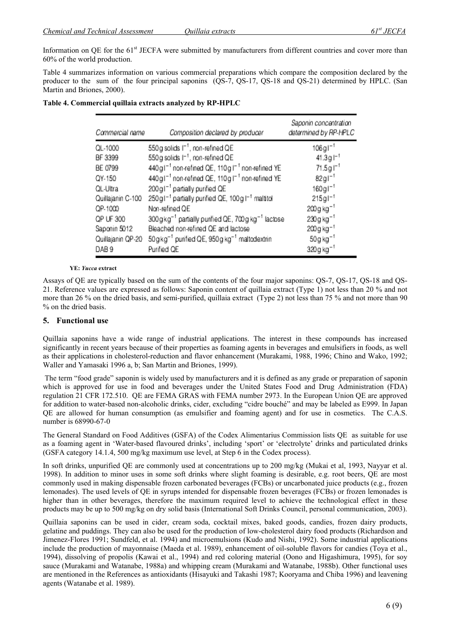Information on QE for the  $61<sup>st</sup>$  JECFA were submitted by manufacturers from different countries and cover more than 60% of the world production.

Table 4 summarizes information on various commercial preparations which compare the composition declared by the producer to the sum of the four principal saponins (QS-7, QS-17, QS-18 and QS-21) determined by HPLC. (San Martin and Briones, 2000).

| Commercial name   | Composition declared by producer                                          | Saponin concentration<br>determined by RP-HPLC |
|-------------------|---------------------------------------------------------------------------|------------------------------------------------|
| QL-1000           | 550g solids I <sup>-1</sup> , non-refined QE                              | $106g1^{-1}$                                   |
| BF 3399           | 550g solids I <sup>-1</sup> , non-refined QE                              | $41.3g$ $1^{-1}$                               |
| BE 0799           | 440g1 <sup>-1</sup> non-refined QE, 110g1 <sup>-1</sup> non-refined YE    | $71.5g1^{-1}$                                  |
| QY-150            | 440g1 <sup>-1</sup> non-refined QE, 110g1 <sup>-1</sup> non-refined YE    | $82g1^{-1}$                                    |
| QL-Ultra          | 200g1 <sup>-1</sup> partially purified QE                                 | $160 \text{ g}$ $1^{-1}$                       |
| Quillajanin C-100 | 250g1-1 partially purified QE, 100g1-1 maltitol                           | $215g1^{-1}$                                   |
| QP-1000           | Non-refined QE                                                            | 200 g kg <sup>-1</sup>                         |
| QP UF 300         | 300gkg <sup>-1</sup> partially purified QE, 700g kg <sup>-1</sup> lactose | 230g kg <sup>-1</sup>                          |
| Saponin 5012      | Bleached non-refined QE and lactose                                       | 200 g kg <sup>-1</sup>                         |
| Quillajanin QP-20 | 50gkg <sup>-1</sup> purified QE, 950g kg <sup>-1</sup> maltodextrin       | $50g kg-1$                                     |
| DAB <sub>9</sub>  | Purified QE                                                               | 320g kg <sup>-1</sup>                          |

### **Table 4. Commercial quillaia extracts analyzed by RP-HPLC**

#### **YE:** *Yucca* **extract**

Assays of QE are typically based on the sum of the contents of the four major saponins: QS-7, QS-17, QS-18 and QS-21. Reference values are expressed as follows: Saponin content of quillaia extract (Type 1) not less than 20 % and not more than 26 % on the dried basis, and semi-purified, quillaia extract (Type 2) not less than 75 % and not more than 90 % on the dried basis.

#### **5. Functional use**

Quillaia saponins have a wide range of industrial applications. The interest in these compounds has increased significantly in recent years because of their properties as foaming agents in beverages and emulsifiers in foods, as well as their applications in cholesterol-reduction and flavor enhancement (Murakami, 1988, 1996; Chino and Wako, 1992; Waller and Yamasaki 1996 a, b; San Martin and Briones, 1999).

 The term "food grade" saponin is widely used by manufacturers and it is defined as any grade or preparation of saponin which is approved for use in food and beverages under the United States Food and Drug Administration (FDA) regulation 21 CFR 172.510. QE are FEMA GRAS with FEMA number 2973. In the European Union QE are approved for addition to water-based non-alcoholic drinks, cider, excluding "cidre bouché" and may be labeled as E999. In Japan QE are allowed for human consumption (as emulsifier and foaming agent) and for use in cosmetics. The C.A.S. number is 68990-67-0

The General Standard on Food Additives (GSFA) of the Codex Alimentarius Commission lists QE as suitable for use as a foaming agent in 'Water-based flavoured drinks', including 'sport' or 'electrolyte' drinks and particulated drinks (GSFA category 14.1.4, 500 mg/kg maximum use level, at Step 6 in the Codex process).

In soft drinks, unpurified QE are commonly used at concentrations up to 200 mg/kg (Mukai et al, 1993, Nayyar et al. 1998). In addition to minor uses in some soft drinks where slight foaming is desirable, e.g. root beers, QE are most commonly used in making dispensable frozen carbonated beverages (FCBs) or uncarbonated juice products (e.g., frozen lemonades). The used levels of QE in syrups intended for dispensable frozen beverages (FCBs) or frozen lemonades is higher than in other beverages, therefore the maximum required level to achieve the technological effect in these products may be up to 500 mg/kg on dry solid basis (International Soft Drinks Council, personal communication, 2003).

Quillaia saponins can be used in cider, cream soda, cocktail mixes, baked goods, candies, frozen dairy products, gelatine and puddings. They can also be used for the production of low-cholesterol dairy food products (Richardson and Jimenez-Flores 1991; Sundfeld, et al. 1994) and microemulsions (Kudo and Nishi, 1992). Some industrial applications include the production of mayonnaise (Maeda et al. 1989), enhancement of oil-soluble flavors for candies (Toya et al., 1994), dissolving of propolis (Kawai et al., 1994) and red coloring material (Oono and Higashimura, 1995), for soy sauce (Murakami and Watanabe, 1988a) and whipping cream (Murakami and Watanabe, 1988b). Other functional uses are mentioned in the References as antioxidants (Hisayuki and Takashi 1987; Kooryama and Chiba 1996) and leavening agents (Watanabe et al. 1989).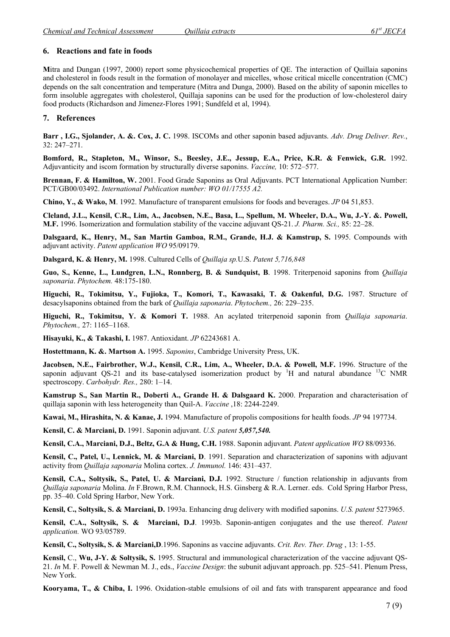## **6. Reactions and fate in foods**

**M**itra and Dungan (1997, 2000) report some physicochemical properties of QE. The interaction of Quillaia saponins and cholesterol in foods result in the formation of monolayer and micelles, whose critical micelle concentration (CMC) depends on the salt concentration and temperature (Mitra and Dunga, 2000). Based on the ability of saponin micelles to form insoluble aggregates with cholesterol, Quillaja saponins can be used for the production of low-cholesterol dairy food products (Richardson and Jimenez-Flores 1991; Sundfeld et al, 1994).

## **7. References**

**Barr , I.G., Sjolander, A. &. Cox, J. C.** 1998. ISCOMs and other saponin based adjuvants. *Adv. Drug Deliver. Rev.*, 32: 247–271.

**Bomford, R., Stapleton, M., Winsor, S., Beesley, J.E., Jessup, E.A., Price, K.R. & Fenwick, G.R.** 1992. Adjuvanticity and iscom formation by structurally diverse saponins. *Vaccine,* 10: 572–577.

**Brennan, F. & Hamilton, W.** 2001. Food Grade Saponins as Oral Adjuvants. PCT International Application Number: PCT/GB00/03492. *International Publication number: WO 01/17555 A2.*

**Chino, Y., & Wako, M**. 1992. Manufacture of transparent emulsions for foods and beverages. *JP* 04 51,853.

**Cleland, J.L., Kensil, C.R., Lim, A., Jacobsen, N.E., Basa, L., Spellum, M. Wheeler, D.A., Wu, J.-Y. &. Powell, M.F.** 1996. Isomerization and formulation stability of the vaccine adjuvant QS-21. *J. Pharm. Sci.,* 85: 22–28.

**Dalsgaard, K., Henry, M., San Martin Gamboa, R.M., Grande, H.J. & Kamstrup, S.** 1995. Compounds with adjuvant activity. *Patent application WO* 95/09179.

**Dalsgard, K. & Henry, M.** 1998. Cultured Cells of *Quillaja sp.*U.S. *Patent 5,716,848* 

**Guo, S., Kenne, L., Lundgren, L.N., Ronnberg, B. & Sundquist, B**. 1998. Triterpenoid saponins from *Quillaja saponaria*. *Phytochem.* 48:175-180.

**Higuchi, R., Tokimitsu, Y., Fujioka, T., Komori, T., Kawasaki, T. & Oakenful, D.G.** 1987. Structure of desacylsaponins obtained from the bark of *Quillaja saponaria*. *Phytochem.,* 26: 229–235.

**Higuchi, R., Tokimitsu, Y. & Komori T.** 1988. An acylated triterpenoid saponin from *Quillaja saponaria*. *Phytochem.,* 27: 1165–1168.

**Hisayuki, K., & Takashi, I.** 1987. Antioxidant. *JP* 62243681 A.

**Hostettmann, K. &. Martson A.** 1995. *Saponins*, Cambridge University Press, UK.

**Jacobsen, N.E., Fairbrother, W.J., Kensil, C.R., Lim, A., Wheeler, D.A. & Powell, M.F.** 1996. Structure of the saponin adjuvant QS-21 and its base-catalysed isomerization product by  ${}^{1}H$  and natural abundance  ${}^{13}C$  NMR spectroscopy. *Carbohydr. Res.,* 280: 1–14.

**Kamstrup S., San Martin R., Doberti A., Grande H. & Dalsgaard K.** 2000. Preparation and characterisation of quillaja saponin with less heterogeneity than Quil-A. *Vaccine* ,18: 2244-2249.

**Kawai, M., Hirashita, N. & Kanae, J.** 1994. Manufacture of propolis compositions for health foods. *JP* 94 197734.

**Kensil, C. & Marciani, D.** 1991. Saponin adjuvant. *U.S. patent 5,057,540.* 

**Kensil, C.A., Marciani, D.J., Beltz, G.A & Hung, C.H.** 1988. Saponin adjuvant. *Patent application WO* 88/09336.

**Kensil, C., Patel, U., Lennick, M. & Marciani, D**. 1991. Separation and characterization of saponins with adjuvant activity from *Quillaja saponaria* Molina cortex. *J. Immunol.* 146: 431–437.

**Kensil, C.A., Soltysik, S., Patel, U. & Marciani, D.J.** 1992. Structure / function relationship in adjuvants from *Quillaja saponaria* Molina. *In* F.Brown, R.M. Channock, H.S. Ginsberg & R.A. Lerner. eds. Cold Spring Harbor Press, pp. 35–40. Cold Spring Harbor, New York.

**Kensil, C., Soltysik, S. & Marciani, D.** 1993a. Enhancing drug delivery with modified saponins. *U.S. patent* 5273965.

**Kensil, C.A., Soltysik, S. & Marciani, D.J**. 1993b. Saponin-antigen conjugates and the use thereof. *Patent application.* WO 93/05789.

**Kensil, C., Soltysik, S. & Marciani,D**.1996. Saponins as vaccine adjuvants. *Crit. Rev. Ther. Drug* , 13: 1-55.

**Kensil,** C., **Wu, J-Y. & Soltysik, S.** 1995. Structural and immunological characterization of the vaccine adjuvant QS-21. *In* M. F. Powell & Newman M. J., eds., *Vaccine Design*: the subunit adjuvant approach. pp. 525–541. Plenum Press, New York.

**Kooryama, T., & Chiba, I.** 1996. Oxidation-stable emulsions of oil and fats with transparent appearance and food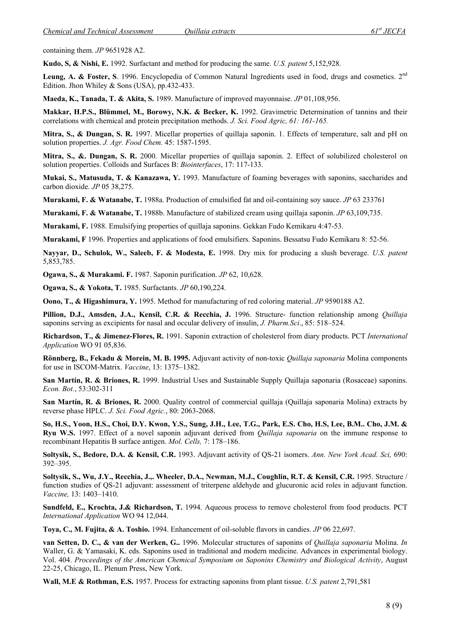containing them. *JP* 9651928 A2.

**Kudo, S, & Nishi, E.** 1992. Surfactant and method for producing the same. *U.S. patent* 5,152,928.

Leung, A. & Foster, S. 1996. Encyclopedia of Common Natural Ingredients used in food, drugs and cosmetics. 2<sup>nd</sup> Edition. Jhon Whiley & Sons (USA), pp.432-433.

**Maeda, K., Tanada, T. & Akita, S.** 1989. Manufacture of improved mayonnaise. *JP* 01,108,956.

**Makkar, H.P.S., Blümmel, M., Borowy, N.K. & Becker, K.** 1992. Gravimetric Determination of tannins and their correlations with chemical and protein precipitation methods. *J. Sci. Food Agric, 61: 161-165.* 

**Mitra, S., & Dungan, S. R.** 1997. Micellar properties of quillaja saponin. 1. Effects of temperature, salt and pH on solution properties. *J. Agr. Food Chem.* 45: 1587-1595.

**Mitra, S., &. Dungan, S. R.** 2000. Micellar properties of quillaja saponin. 2. Effect of solubilized cholesterol on solution properties. Colloids and Surfaces B: *Biointerfaces*, 17: 117-133.

**Mukai, S., Matusuda, T. & Kanazawa, Y.** 1993. Manufacture of foaming beverages with saponins, saccharides and carbon dioxide. *JP* 05 38,275.

**Murakami, F. & Watanabe, T.** 1988a. Production of emulsified fat and oil-containing soy sauce. *JP* 63 233761

**Murakami, F. & Watanabe, T.** 1988b. Manufacture of stabilized cream using quillaja saponin. *JP* 63,109,735.

**Murakami, F.** 1988. Emulsifying properties of quillaja saponins. Gekkan Fudo Kemikaru 4:47-53.

**Murakami, F** 1996. Properties and applications of food emulsifiers. Saponins. Bessatsu Fudo Kemikaru 8: 52-56.

**Nayyar, D., Schulok, W., Saleeb, F. & Modesta, E.** 1998. Dry mix for producing a slush beverage. *U.S. patent* 5,853,785.

**Ogawa, S., & Murakami. F.** 1987. Saponin purification. *JP* 62, 10,628.

**Ogawa, S., & Yokota, T.** 1985. Surfactants. *JP* 60,190,224.

**Oono, T., & Higashimura, Y.** 1995. Method for manufacturing of red coloring material. *JP* 9590188 A2.

**Pillion, D.J., Amsden, J.A., Kensil, C.R. & Recchia, J.** 1996. Structure- function relationship among *Quillaja*  saponins serving as excipients for nasal and occular delivery of insulin, *J. Pharm.Sci*., 85: 518–524.

**Richardson, T., & Jimenez-Flores, R.** 1991. Saponin extraction of cholesterol from diary products. PCT *International Application* WO 91 05,836.

**Rönnberg, B., Fekadu & Morein, M. B. 1995.** Adjuvant activity of non-toxic *Quillaja saponaria* Molina components for use in ISCOM-Matrix. *Vaccine*, 13: 1375–1382.

**San Martín, R. & Briones, R.** 1999. Industrial Uses and Sustainable Supply Quillaja saponaria (Rosaceae) saponins. *Econ. Bot.*, 53:302-311

**San Martín, R. & Briones, R.** 2000. Quality control of commercial quillaja (Quillaja saponaria Molina) extracts by reverse phase HPLC. *J. Sci. Food Agric.*, 80: 2063-2068.

**So, H.S., Yoon, H.S., Choi, D.Y. Kwon, Y.S., Sung, J.H., Lee, T.G., Park, E.S. Cho, H.S, Lee, B.M.. Cho, J.M. & Ryu W.S.** 1997. Effect of a novel saponin adjuvant derived from *Quillaja saponaria* on the immune response to recombinant Hepatitis B surface antigen. *Mol. Cells,* 7: 178–186.

**Soltysik, S., Bedore, D.A. & Kensil, C.R.** 1993. Adjuvant activity of QS-21 isomers. *Ann. New York Acad. Sci,* 690: 392–395.

**Soltysik, S., Wu, J.Y., Recchia, J.,. Wheeler, D.A., Newman, M.J., Coughlin, R.T. & Kensil, C.R.** 1995. Structure / function studies of QS-21 adjuvant: assessment of triterpene aldehyde and glucuronic acid roles in adjuvant function. *Vaccine,* 13: 1403–1410.

**Sundfeld, E., Krochta, J.& Richardson, T.** 1994. Aqueous process to remove cholesterol from food products. PCT *International Application* WO 94 12,044.

**Toya, C., M. Fujita, & A. Toshio.** 1994. Enhancement of oil-soluble flavors in candies. *JP* 06 22,697.

**van Setten, D. C., & van der Werken, G..** 1996. Molecular structures of saponins of *Quillaja saponaria* Molina. *In*  Waller, G. & Yamasaki, K. eds. Saponins used in traditional and modern medicine. Advances in experimental biology. Vol. 404. *Proceedings of the American Chemical Symposium on Saponins Chemistry and Biological Activity*, August 22-25, Chicago, IL. Plenum Press, New York.

**Wall, M.E & Rothman, E.S.** 1957. Process for extracting saponins from plant tissue. *U.S. patent* 2,791,581